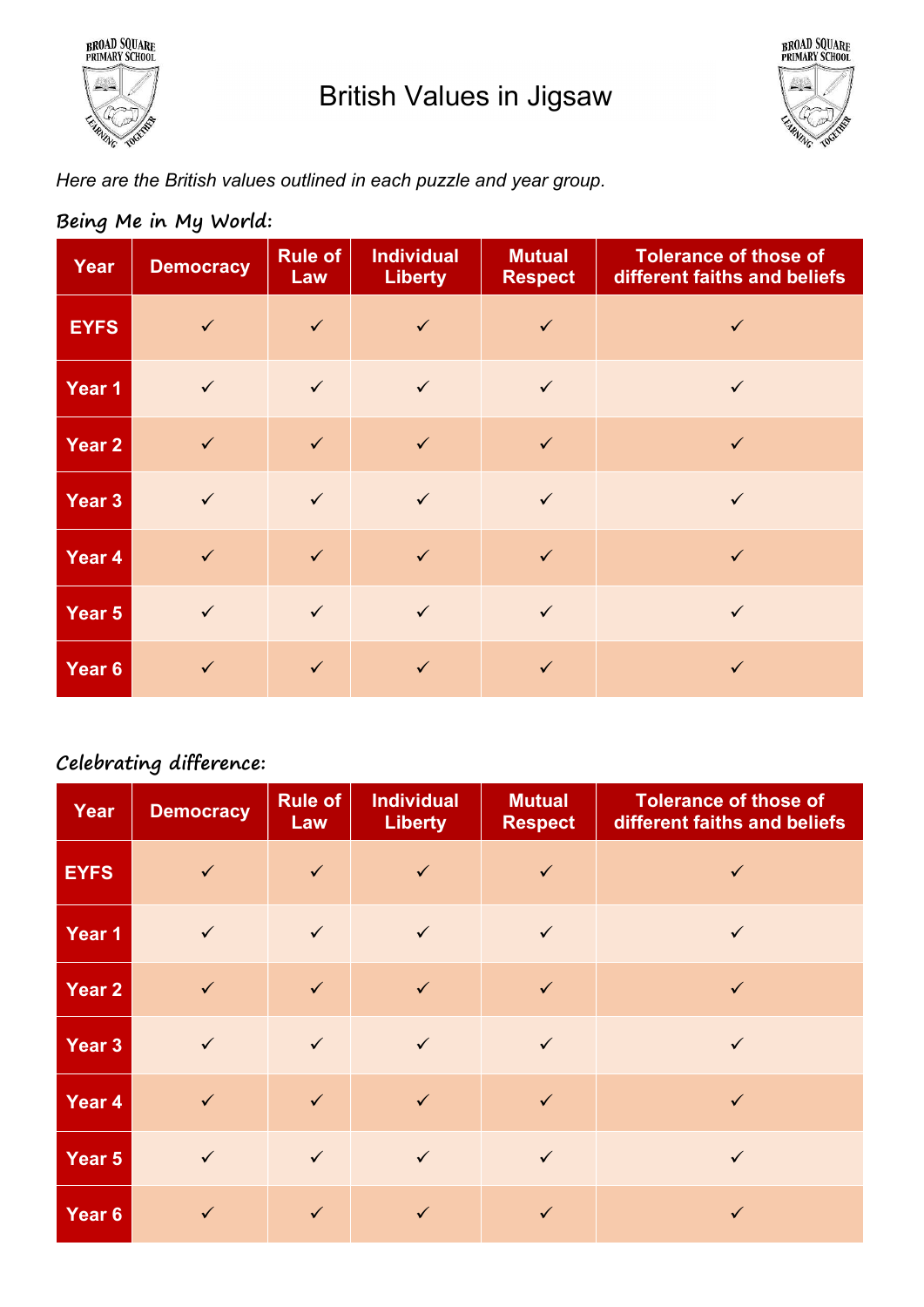



Here are the British values outlined in each puzzle and year group.

| Year              | <b>Democracy</b> | <b>Rule of</b><br>Law | <b>Individual</b><br><b>Liberty</b> | <b>Mutual</b><br><b>Respect</b> | <b>Tolerance of those of</b><br>different faiths and beliefs |
|-------------------|------------------|-----------------------|-------------------------------------|---------------------------------|--------------------------------------------------------------|
| <b>EYFS</b>       | $\checkmark$     | $\checkmark$          | $\checkmark$                        | $\checkmark$                    | $\checkmark$                                                 |
| Year 1            | $\checkmark$     | $\checkmark$          | $\checkmark$                        | $\checkmark$                    | $\checkmark$                                                 |
| Year <sub>2</sub> | $\checkmark$     | $\checkmark$          | $\checkmark$                        | $\checkmark$                    | $\checkmark$                                                 |
| Year 3            | $\checkmark$     | $\checkmark$          | $\checkmark$                        | $\checkmark$                    | $\checkmark$                                                 |
| Year 4            | $\checkmark$     | $\checkmark$          | $\checkmark$                        | $\checkmark$                    | $\checkmark$                                                 |
| Year 5            | $\checkmark$     | $\checkmark$          | $\checkmark$                        | $\checkmark$                    | $\checkmark$                                                 |
| Year <sub>6</sub> | $\checkmark$     | $\checkmark$          | $\checkmark$                        | $\checkmark$                    | $\checkmark$                                                 |

### Being Me in My World:

## Celebrating difference:

| Year        | <b>Democracy</b> | <b>Rule of</b><br>Law | <b>Individual</b><br><b>Liberty</b> | <b>Mutual</b><br><b>Respect</b> | <b>Tolerance of those of</b><br>different faiths and beliefs |
|-------------|------------------|-----------------------|-------------------------------------|---------------------------------|--------------------------------------------------------------|
| <b>EYFS</b> | $\checkmark$     | $\checkmark$          | $\checkmark$                        | $\checkmark$                    | $\checkmark$                                                 |
| Year 1      | $\checkmark$     | $\checkmark$          | $\checkmark$                        | $\checkmark$                    | $\checkmark$                                                 |
| Year 2      | $\checkmark$     | $\checkmark$          | $\checkmark$                        | $\checkmark$                    | $\checkmark$                                                 |
| Year 3      | $\checkmark$     | $\checkmark$          | $\checkmark$                        | $\checkmark$                    | $\checkmark$                                                 |
| Year 4      | $\checkmark$     | $\checkmark$          | $\checkmark$                        | $\checkmark$                    | $\checkmark$                                                 |
| Year 5      | $\checkmark$     | $\checkmark$          | $\checkmark$                        | $\checkmark$                    | $\checkmark$                                                 |
| Year 6      | $\checkmark$     | $\checkmark$          | $\checkmark$                        | $\checkmark$                    | $\checkmark$                                                 |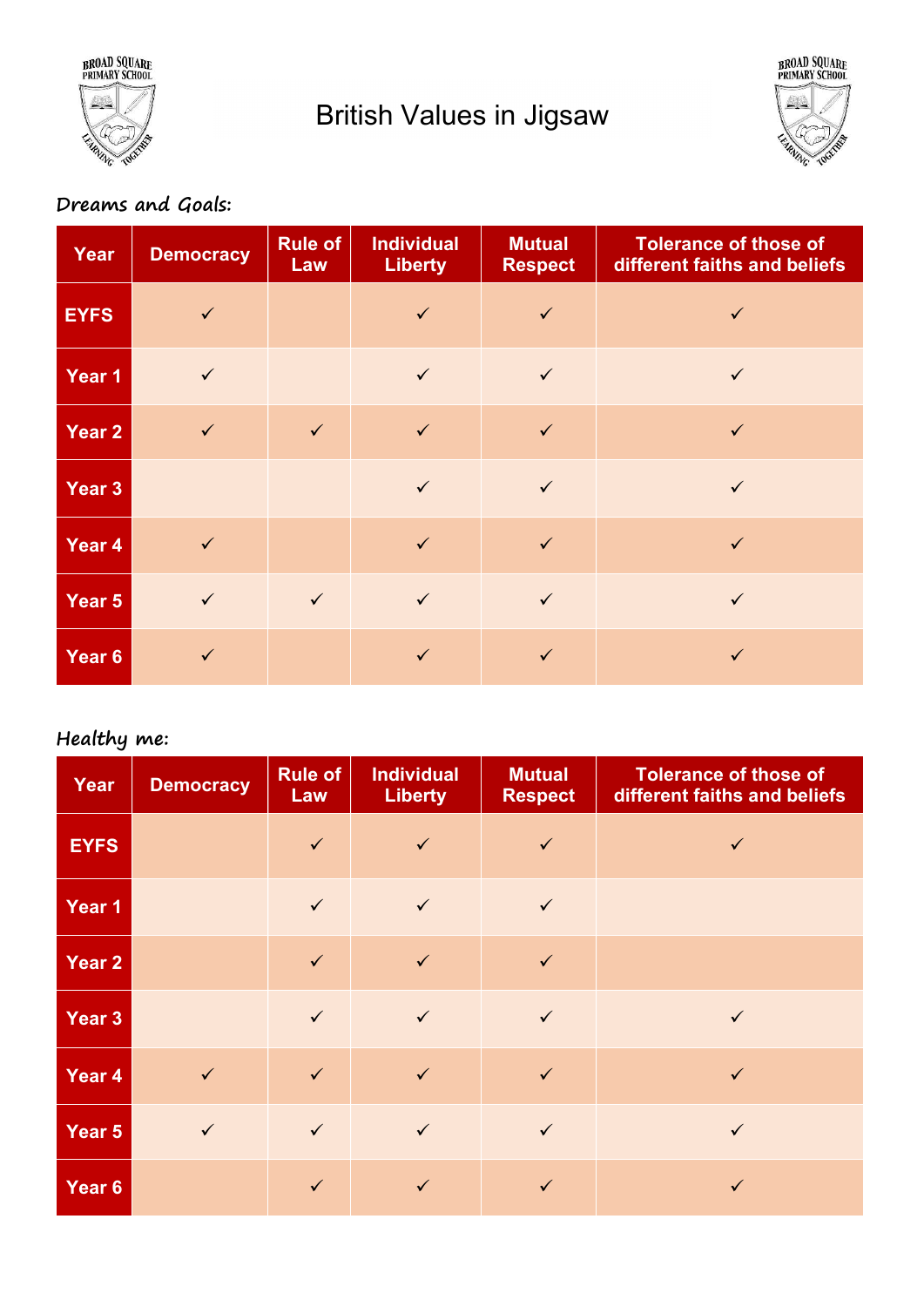

# British Values in Jigsaw



# Dreams and Goals:

| Year              | <b>Democracy</b> | <b>Rule of</b><br>Law | <b>Individual</b><br><b>Liberty</b> | <b>Mutual</b><br><b>Respect</b> | <b>Tolerance of those of</b><br>different faiths and beliefs |
|-------------------|------------------|-----------------------|-------------------------------------|---------------------------------|--------------------------------------------------------------|
| <b>EYFS</b>       | $\checkmark$     |                       | $\checkmark$                        | $\checkmark$                    | $\checkmark$                                                 |
| Year 1            | $\checkmark$     |                       | $\checkmark$                        | $\checkmark$                    | $\checkmark$                                                 |
| Year 2            | $\checkmark$     | $\sqrt{ }$            | $\checkmark$                        | $\checkmark$                    | $\checkmark$                                                 |
| Year 3            |                  |                       | $\checkmark$                        | $\checkmark$                    | $\checkmark$                                                 |
| Year 4            | $\checkmark$     |                       | $\checkmark$                        | $\checkmark$                    | $\checkmark$                                                 |
| Year 5            | $\checkmark$     | $\sqrt{ }$            | $\checkmark$                        | $\checkmark$                    | $\checkmark$                                                 |
| Year <sub>6</sub> | $\checkmark$     |                       | $\checkmark$                        | $\checkmark$                    | $\checkmark$                                                 |

#### Healthy me:

| Year              | <b>Democracy</b> | <b>Rule of</b><br><b>Law</b> | <b>Individual</b><br><b>Liberty</b> | <b>Mutual</b><br><b>Respect</b> | <b>Tolerance of those of</b><br>different faiths and beliefs |
|-------------------|------------------|------------------------------|-------------------------------------|---------------------------------|--------------------------------------------------------------|
| <b>EYFS</b>       |                  | $\checkmark$                 | $\checkmark$                        | $\checkmark$                    | $\checkmark$                                                 |
| Year <sub>1</sub> |                  | $\checkmark$                 | $\checkmark$                        | $\checkmark$                    |                                                              |
| Year 2            |                  | $\checkmark$                 | $\checkmark$                        | $\checkmark$                    |                                                              |
| Year <sub>3</sub> |                  | $\checkmark$                 | $\checkmark$                        | $\checkmark$                    | $\checkmark$                                                 |
| Year 4            | $\sqrt{2}$       | $\checkmark$                 | $\checkmark$                        | $\checkmark$                    | $\checkmark$                                                 |
| Year 5            | $\checkmark$     | $\checkmark$                 | $\checkmark$                        | $\checkmark$                    | $\checkmark$                                                 |
| Year 6            |                  | $\checkmark$                 | $\checkmark$                        | $\checkmark$                    | $\checkmark$                                                 |